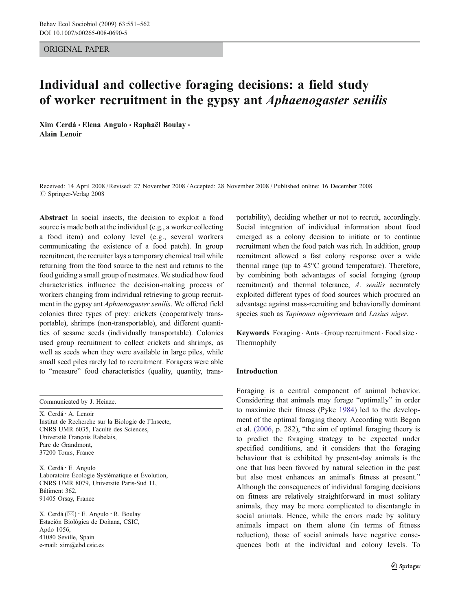ORIGINAL PAPER

# Individual and collective foraging decisions: a field study of worker recruitment in the gypsy ant Aphaenogaster senilis

Xim Cerdá · Elena Angulo · Raphaël Boulay · Alain Lenoir

Received: 14 April 2008 /Revised: 27 November 2008 /Accepted: 28 November 2008 / Published online: 16 December 2008  $\oslash$  Springer-Verlag 2008

Abstract In social insects, the decision to exploit a food source is made both at the individual (e.g., a worker collecting a food item) and colony level (e.g., several workers communicating the existence of a food patch). In group recruitment, the recruiter lays a temporary chemical trail while returning from the food source to the nest and returns to the food guiding a small group of nestmates. We studied how food characteristics influence the decision-making process of workers changing from individual retrieving to group recruitment in the gypsy ant Aphaenogaster senilis. We offered field colonies three types of prey: crickets (cooperatively transportable), shrimps (non-transportable), and different quantities of sesame seeds (individually transportable). Colonies used group recruitment to collect crickets and shrimps, as well as seeds when they were available in large piles, while small seed piles rarely led to recruitment. Foragers were able to "measure" food characteristics (quality, quantity, trans-

Communicated by J. Heinze.

X. Cerdá : A. Lenoir Institut de Recherche sur la Biologie de l'Insecte, CNRS UMR 6035, Faculté des Sciences, Université François Rabelais, Parc de Grandmont, 37200 Tours, France

X. Cerdá : E. Angulo Laboratoire Écologie Systématique et Évolution, CNRS UMR 8079, Université Paris-Sud 11, Bâtiment 362, 91405 Orsay, France

X. Cerdá ( $\boxtimes$ ) · E. Angulo · R. Boulay Estación Biológica de Doñana, CSIC, Apdo 1056, 41080 Seville, Spain e-mail: xim@ebd.csic.es

portability), deciding whether or not to recruit, accordingly. Social integration of individual information about food emerged as a colony decision to initiate or to continue recruitment when the food patch was rich. In addition, group recruitment allowed a fast colony response over a wide thermal range (up to 45°C ground temperature). Therefore, by combining both advantages of social foraging (group recruitment) and thermal tolerance, A. senilis accurately exploited different types of food sources which procured an advantage against mass-recruiting and behaviorally dominant species such as Tapinoma nigerrimum and Lasius niger.

Keywords Foraging . Ants . Group recruitment . Food size . Thermophily

#### Introduction

Foraging is a central component of animal behavior. Considering that animals may forage "optimally" in order to maximize their fitness (Pyke [1984\)](#page-11-0) led to the development of the optimal foraging theory. According with Begon et al. [\(2006,](#page-10-0) p. 282), "the aim of optimal foraging theory is to predict the foraging strategy to be expected under specified conditions, and it considers that the foraging behaviour that is exhibited by present-day animals is the one that has been favored by natural selection in the past but also most enhances an animal's fitness at present." Although the consequences of individual foraging decisions on fitness are relatively straightforward in most solitary animals, they may be more complicated to disentangle in social animals. Hence, while the errors made by solitary animals impact on them alone (in terms of fitness reduction), those of social animals have negative consequences both at the individual and colony levels. To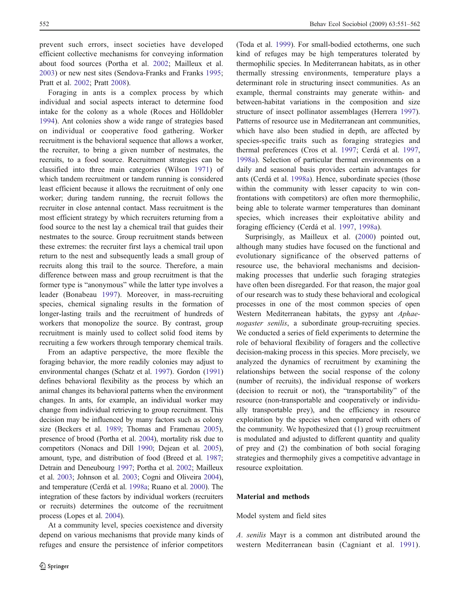<span id="page-1-0"></span>prevent such errors, insect societies have developed efficient collective mechanisms for conveying information about food sources (Portha et al. [2002](#page-11-0); Mailleux et al. [2003\)](#page-11-0) or new nest sites (Sendova-Franks and Franks [1995](#page-11-0); Pratt et al. [2002;](#page-11-0) Pratt [2008\)](#page-11-0).

Foraging in ants is a complex process by which individual and social aspects interact to determine food intake for the colony as a whole (Roces and Hölldobler [1994\)](#page-11-0). Ant colonies show a wide range of strategies based on individual or cooperative food gathering. Worker recruitment is the behavioral sequence that allows a worker, the recruiter, to bring a given number of nestmates, the recruits, to a food source. Recruitment strategies can be classified into three main categories (Wilson 1971) of which tandem recruitment or tandem running is c[onsid](#page-11-0)ered least efficient because it allows the recruitment of only one worker; during tandem running, the recruit follows the recruiter in close antennal contact. Mass recruitment is the most efficient strategy by which recruiters returning from a food source to the nest lay a chemical trail that guides their nestmates to the source. Group recruitment stands between these extremes: the recruiter first lays a chemical trail upon return to the nest and subsequently leads a small group of recruits along this trail to the source. Therefore, a main difference between mass and group recruitment is that the former type is "anonymous" while the latter type involves a leader (Bonabeau 1997). Moreover, in mass-recruiting species, chemical [signal](#page-11-0)ing results in the formation of longer-lasting trails and the recruitment of hundreds of workers that monopolize the source. By contrast, group recruitment is mainly used to collect solid food items by recruiting a few workers through temporary chemical trails.

From an adaptive perspective, the more flexible the foraging behavior, the more readily colonies may adjust to environmental changes (Schatz et al. [1997\)](#page-11-0). Gordon [\(1991\)](#page-11-0) defines behavioral flexibility as the process by which an animal changes its behavioral patterns when the environment changes. In ants, for example, an individual worker may change from individual retrieving to group recruitment. This decision may be influenced by many factors such as colony size (Beckers et al. [1989;](#page-10-0) Thomas and Framenau [2005\)](#page-11-0), presence of brood (Portha et al. 2004), mortality risk due to competitors (Nonacs and Dill [1990;](#page-11-0) Dejean et al. [2005\)](#page-11-0), amount, type, and distribution of food (Breed et al. [1987](#page-11-0); Detrain and Deneubourg [1997](#page-11-0); Portha et al. 2002; Mailleux et al. [2003;](#page-11-0) Johnson et al. [2003](#page-11-0); Cogni and [Olive](#page-11-0)ira [2004\)](#page-11-0), and temperature (Cerdá et al. [1998a;](#page-11-0) Ruano et al. [2000\)](#page-11-0). The integration of these factors by individual workers (recruiters or recruits) determines the outcome of the recruitment process (Lopes et al. [2004\)](#page-11-0).

At a community level, species coexistence and diversity depend on various mechanisms that provide many kinds of refuges and ensure the persistence of inferior competitors

(Toda et al. [1999\)](#page-11-0). For small-bodied ectotherms, one such kind of refuges may be high temperatures tolerated by thermophilic species. In Mediterranean habitats, as in other thermally stressing environments, temperature plays a determinant role in structuring insect communities. As an example, thermal constraints may generate within- and between-habitat variations in the composition and size structure of insect pollinator assemblages (Herrera [1997\)](#page-11-0). Patterns of resource use in Mediterranean ant communities, which have also been studied in depth, are affected by species-specific traits such as foraging strategies and thermal preferences (Cros et al. 1997; Cerdá et al. [1997,](#page-11-0) [1998a](#page-11-0)). Selection of particular th[ermal](#page-11-0) environments on a daily and seasonal basis provides certain advantages for ants (Cerdá et al. [1998a\)](#page-11-0). Hence, subordinate species (those within the community with lesser capacity to win confrontations with competitors) are often more thermophilic, being able to tolerate warmer temperatures than dominant species, which increases their exploitative ability and foraging efficiency (Cerdá et al. [1997,](#page-11-0) 1998a).

Surprisingly, as Mailleux et al. ([2000\)](#page-11-0) pointed out, although many studies have focused on the functional and evolutionary significance of the observed patterns of resource use, the behavioral mechanisms and decisionmaking processes that underlie such foraging strategies have often been disregarded. For that reason, the major goal of our research was to study these behavioral and ecological processes in one of the most common species of open Western Mediterranean habitats, the gypsy ant Aphaenogaster senilis, a subordinate group-recruiting species. We conducted a series of field experiments to determine the role of behavioral flexibility of foragers and the collective decision-making process in this species. More precisely, we analyzed the dynamics of recruitment by examining the relationships between the social response of the colony (number of recruits), the individual response of workers (decision to recruit or not), the "transportability" of the resource (non-transportable and cooperatively or individually transportable prey), and the efficiency in resource exploitation by the species when compared with others of the community. We hypothesized that (1) group recruitment is modulated and adjusted to different quantity and quality of prey and (2) the combination of both social foraging strategies and thermophily gives a competitive advantage in resource exploitation.

## Material and methods

Model system and field sites

A. senilis Mayr is a common ant distributed around the western Mediterranean basin (Cagniant et al. [1991](#page-11-0)).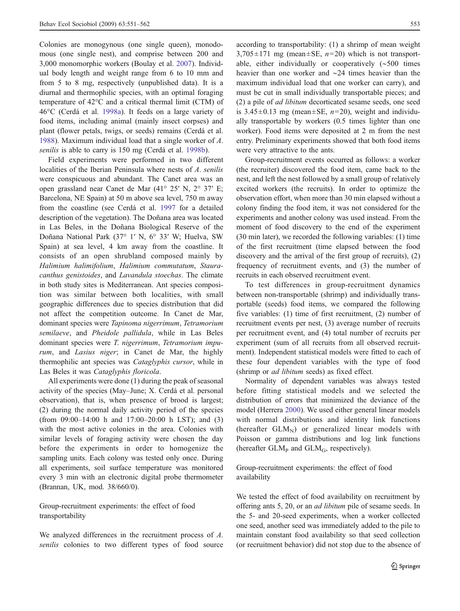Colonies are monogynous (one single queen), monodomous (one single nest), and comprise between 200 and 3,000 monomorphic workers (Boulay et al. [2007](#page-11-0)). Individual body length and weight range from 6 to 10 mm and from 5 to 8 mg, respectively (unpublished data). It is a diurnal and thermophilic species, with an optimal foraging temperature of 42°C and a critical thermal limit (CTM) of 46°C (Cerdá et al. [1998a\)](#page-11-0). It feeds on a large variety of food items, including animal (mainly insect corpses) and plant (flower petals, twigs, or seeds) remains (Cerdá et al. [1988\)](#page-11-0). Maximum individual load that a single worker of A. senilis is able to carry is 150 mg (Cerdá et al. [1998b\)](#page-11-0).

Field experiments were performed in two different localities of the Iberian Peninsula where nests of A. senilis were conspicuous and abundant. The Canet area was an open grassland near Canet de Mar (41° 25′ N, 2° 37′ E; Barcelona, NE Spain) at 50 m above sea level, 750 m away from the coastline (see Cerdá et al. [1997](#page-11-0) for a detailed description of the vegetation). The Doñana area was located in Las Beles, in the Doñana Biological Reserve of the Doñana National Park (37° 1′ N, 6° 33′ W; Huelva, SW Spain) at sea level, 4 km away from the coastline. It consists of an open shrubland composed mainly by Halimium halimifolium, Halimium commutatum, Stauracanthus genistoides, and Lavandula stoechas. The climate in both study sites is Mediterranean. Ant species composition was similar between both localities, with small geographic differences due to species distribution that did not affect the competition outcome. In Canet de Mar, dominant species were Tapinoma nigerrimum, Tetramorium semilaeve, and Pheidole pallidula, while in Las Beles dominant species were T. nigerrimum, Tetramorium impurum, and Lasius niger; in Canet de Mar, the highly thermophilic ant species was *Cataglyphis cursor*, while in Las Beles it was Cataglyphis floricola.

All experiments were done (1) during the peak of seasonal activity of the species (May–June; X. Cerdá et al. personal observation), that is, when presence of brood is largest; (2) during the normal daily activity period of the species (from 09:00–14:00 h and 17:00–20:00 h LST); and (3) with the most active colonies in the area. Colonies with similar levels of foraging activity were chosen the day before the experiments in order to homogenize the sampling units. Each colony was tested only once. During all experiments, soil surface temperature was monitored every 3 min with an electronic digital probe thermometer (Brannan, UK, mod. 38/660/0).

Group-recruitment experiments: the effect of food transportability

We analyzed differences in the recruitment process of A. senilis colonies to two different types of food source according to transportability: (1) a shrimp of mean weight  $3,705\pm171$  mg (mean $\pm$ SE,  $n=20$ ) which is not transportable, either individually or cooperatively (∼500 times heavier than one worker and ∼24 times heavier than the maximum individual load that one worker can carry), and must be cut in small individually transportable pieces; and (2) a pile of ad libitum decorticated sesame seeds, one seed is  $3.45\pm0.13$  mg (mean $\pm$ SE,  $n=20$ ), weight and individually transportable by workers (0.5 times lighter than one worker). Food items were deposited at 2 m from the nest entry. Preliminary experiments showed that both food items were very attractive to the ants.

Group-recruitment events occurred as follows: a worker (the recruiter) discovered the food item, came back to the nest, and left the nest followed by a small group of relatively excited workers (the recruits). In order to optimize the observation effort, when more than 30 min elapsed without a colony finding the food item, it was not considered for the experiments and another colony was used instead. From the moment of food discovery to the end of the experiment (30 min later), we recorded the following variables: (1) time of the first recruitment (time elapsed between the food discovery and the arrival of the first group of recruits), (2) frequency of recruitment events, and (3) the number of recruits in each observed recruitment event.

To test differences in group-recruitment dynamics between non-transportable (shrimp) and individually transportable (seeds) food items, we compared the following five variables: (1) time of first recruitment, (2) number of recruitment events per nest, (3) average number of recruits per recruitment event, and (4) total number of recruits per experiment (sum of all recruits from all observed recruitment). Independent statistical models were fitted to each of these four dependent variables with the type of food (shrimp or ad libitum seeds) as fixed effect.

Normality of dependent variables was always tested before fitting statistical models and we selected the distribution of errors that minimized the deviance of the model (Herrera [2000](#page-11-0)). We used either general linear models with normal distributions and identity link functions (hereafter  $GLM_N$ ) or generalized linear models with Poisson or gamma distributions and log link functions (hereafter  $GLM<sub>P</sub>$  and  $GLM<sub>G</sub>$ , respectively).

## Group-recruitment experiments: the effect of food availability

We tested the effect of food availability on recruitment by offering ants 5, 20, or an ad libitum pile of sesame seeds. In the 5- and 20-seed experiments, when a worker collected one seed, another seed was immediately added to the pile to maintain constant food availability so that seed collection (or recruitment behavior) did not stop due to the absence of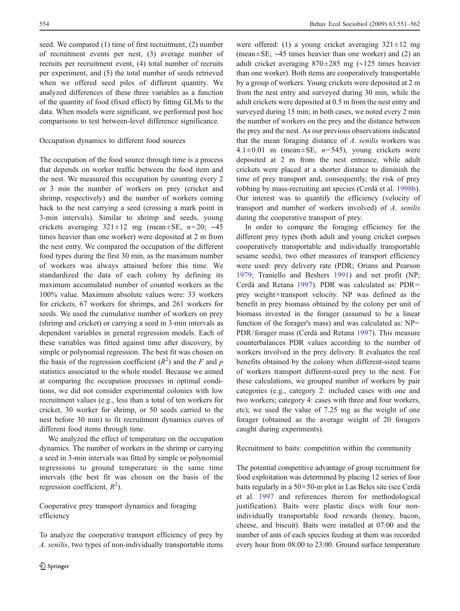seed. We compared (1) time of first recruitment, (2) number of recruitment events per nest, (3) average number of recruits per recruitment event, (4) total number of recruits per experiment, and (5) the total number of seeds retrieved when we offered seed piles of different quantity. We analyzed differences of these three variables as a function of the quantity of food (fixed effect) by fitting GLMs to the data. When models were significant, we performed post hoc comparisons to test between-level difference significance.

## Occupation dynamics to different food sources

The occupation of the food source through time is a process that depends on worker traffic between the food item and the nest. We measured this occupation by counting every 2 or 3 min the number of workers on prey (cricket and shrimp, respectively) and the number of workers coming back to the nest carrying a seed (crossing a mark point in 3-min intervals). Similar to shrimp and seeds, young crickets averaging  $321 \pm 12$  mg (mean $\pm$ SE, n=20; ~45 times heavier than one worker) were deposited at 2 m from the nest entry. We compared the occupation of the different food types during the first 30 min, as the maximum number of workers was always attained before this time. We standardized the data of each colony by defining its maximum accumulated number of counted workers as the 100% value. Maximum absolute values were: 33 workers for crickets, 67 workers for shrimps, and 261 workers for seeds. We used the cumulative number of workers on prey (shrimp and cricket) or carrying a seed in 3-min intervals as dependent variables in general regression models. Each of these variables was fitted against time after discovery, by simple or polynomial regression. The best fit was chosen on the basis of the regression coefficient  $(R^2)$  and the F and p statistics associated to the whole model. Because we aimed at comparing the occupation processes in optimal conditions, we did not consider experimental colonies with low recruitment values (e.g., less than a total of ten workers for cricket, 30 worker for shrimp, or 50 seeds carried to the nest before 30 min) to fit recruitment dynamics curves of different food items through time.

We analyzed the effect of temperature on the occupation dynamics. The number of workers in the shrimp or carrying a seed in 3-min intervals was fitted by simple or polynomial regressions to ground temperature in the same time intervals (the best fit was chosen on the basis of the regression coefficient,  $R^2$ ).

Cooperative prey transport dynamics and foraging efficiency

To analyze the cooperative transport efficiency of prey by A. senilis, two types of non-individually transportable items

were offered: (1) a young cricket averaging  $321 \pm 12$  mg (mean±SE; ∼45 times heavier than one worker) and (2) an adult cricket averaging 870±285 mg (∼125 times heavier than one worker). Both items are cooperatively transportable by a group of workers. Young crickets were deposited at 2 m from the nest entry and surveyed during 30 min, while the adult crickets were deposited at 0.5 m from the nest entry and surveyed during 15 min; in both cases, we noted every 2 min the number of workers on the prey and the distance between the prey and the nest. As our previous observations indicated that the mean foraging distance of A. senilis workers was 4.1 $\pm$ 0.01 m (mean $\pm$ SE, n=545), young crickets were deposited at 2 m from the nest entrance, while adult crickets were placed at a shorter distance to diminish the time of prey transport and, consequently, the risk of prey robbing by mass-recruiting ant species (Cerdá et al. [1998b\)](#page-11-0). Our interest was to quantify the efficiency (velocity of transport and number of workers involved) of A. senilis during the cooperative transport of prey.

In order to compare the foraging efficiency for the different prey types (both adult and young cricket corpses cooperatively transportable and individually transportable sesame seeds), two other measures of transport efficiency were used: prey delivery rate (PDR; Orians and Pearson 1979; Traniello and Beshers [1991](#page-11-0)) and net profit (NP; [Cerdá](#page-11-0) and Retana [1997\)](#page-11-0). PDR was calculated as: PDR= prey weight×transport velocity. NP was defined as the benefit in prey biomass obtained by the colony per unit of biomass invested in the forager (assumed to be a linear function of the forager's mass) and was calculated as: NP= PDR/forager mass (Cerdá and Retana [1997\)](#page-11-0). This measure counterbalances PDR values according to the number of workers involved in the prey delivery. It evaluates the real benefits obtained by the colony when different-sized teams of workers transport different-sized prey to the nest. For these calculations, we grouped number of workers by pair categories (e.g., category 2: included cases with one and two workers; category 4: cases with three and four workers, etc); we used the value of 7.25 mg as the weight of one forager (obtained as the average weight of 20 foragers caught during experiments).

Recruitment to baits: competition within the community

The potential competitive advantage of group recruitment for food exploitation was determined by placing 12 series of four baits regularly in a 50×50-m plot in Las Beles site (see Cerdá et al. [1997](#page-11-0) and references therein for methodological justification). Baits were plastic discs with four nonindividually transportable food rewards (honey, bacon, cheese, and biscuit). Baits were installed at 07:00 and the number of ants of each species feeding at them was recorded every hour from 08:00 to 23:00. Ground surface temperature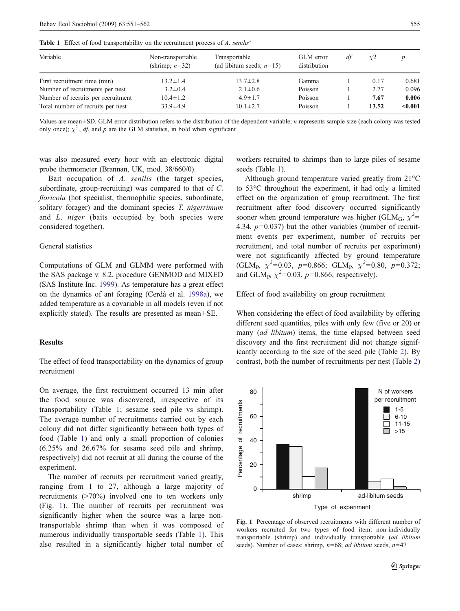<span id="page-4-0"></span>Table 1 Effect of food transportability on the recruitment process of A. senilis'

| Variable                           | Non-transportable<br>(shrimp; $n=32$ ) | Transportable<br>(ad libitum seeds; $n=15$ ) | GLM error<br>distribution | di | $\chi$ <sup>2</sup> |         |  |
|------------------------------------|----------------------------------------|----------------------------------------------|---------------------------|----|---------------------|---------|--|
| First recruitment time (min)       | $13.2 \pm 1.4$                         | $13.7 \pm 2.8$                               | Gamma                     |    | 0.17                | 0.681   |  |
| Number of recruitments per nest    | $3.2 \pm 0.4$                          | $2.1 \pm 0.6$                                | Poisson                   |    | 2.77                | 0.096   |  |
| Number of recruits per recruitment | $10.4 \pm 1.2$                         | $4.9 \pm 1.7$                                | Poisson                   |    | 7.67                | 0.006   |  |
| Total number of recruits per nest  | $33.9 \pm 4.9$                         | $10.1 \pm 2.7$                               | Poisson                   |    | 13.52               | < 0.001 |  |

Values are mean±SD. GLM error distribution refers to the distribution of the dependent variable; *n* represents sample size (each colony was tested only once);  $\chi^2$ , *df*, and *p* are the GLM statistics, in bold when significant

was also measured every hour with an electronic digital probe thermometer (Brannan, UK, mod. 38/660/0).

Bait occupation of A. senilis (the target species, subordinate, group-recruiting) was compared to that of C. floricola (hot specialist, thermophilic species, subordinate, solitary forager) and the dominant species T. nigerrimum and L. niger (baits occupied by both species were considered together).

#### General statistics

Computations of GLM and GLMM were performed with the SAS package v. 8.2, procedure GENMOD and MIXED (SAS Institute Inc. [1999](#page-11-0)). As temperature has a great effect on the dynamics of ant foraging (Cerdá et al. [1998a\)](#page-11-0), we added temperature as a covariable in all models (even if not explicitly stated). The results are presented as mean±SE.

#### **Results**

The effect of food transportability on the dynamics of group recruitment

On average, the first recruitment occurred 13 min after the food source was discovered, irrespective of its transportability (Table 1; sesame seed pile vs shrimp). The average number of recruitments carried out by each colony did not differ significantly between both types of food (Table 1) and only a small proportion of colonies (6.25% and 26.67% for sesame seed pile and shrimp, respectively) did not recruit at all during the course of the experiment.

The number of recruits per recruitment varied greatly, ranging from 1 to 27, although a large majority of recruitments (>70%) involved one to ten workers only (Fig. 1). The number of recruits per recruitment was significantly higher when the source was a large nontransportable shrimp than when it was composed of numerous individually transportable seeds (Table 1). This also resulted in a significantly higher total number of

workers recruited to shrimps than to large piles of sesame seeds (Table 1).

Although ground temperature varied greatly from 21°C to 53°C throughout the experiment, it had only a limited effect on the organization of group recruitment. The first recruitment after food discovery occurred significantly sooner when ground temperature was higher (GLM<sub>G</sub>,  $\chi^2$ = 4.34,  $p=0.037$ ) but the other variables (number of recruitment events per experiment, number of recruits per recruitment, and total number of recruits per experiment) were not significantly affected by ground temperature (GLM<sub>P</sub>,  $\chi^2$ =0.03, p=0.866; GLM<sub>P</sub>,  $\chi^2$ =0.80, p=0.372; and GLM<sub>P</sub>,  $\chi^2$ =0.03, p=0.866, respectively).

Effect of food availability on group recruitment

When considering the effect of food availability by offering different seed quantities, piles with only few (five or 20) or many (ad libitum) items, the time elapsed between seed discovery and the first recruitment did not change significantly according to the size of the seed pile (Table 2). By contrast, both the number of recruitments per nest (T[ab](#page-5-0)le [2](#page-5-0))



Fig. 1 Percentage of observed recruitments with different number of workers recruited for two types of food item: non-individually transportable (shrimp) and individually transportable (ad libitum seeds). Number of cases: shrimp,  $n=68$ ; *ad libitum* seeds,  $n=47$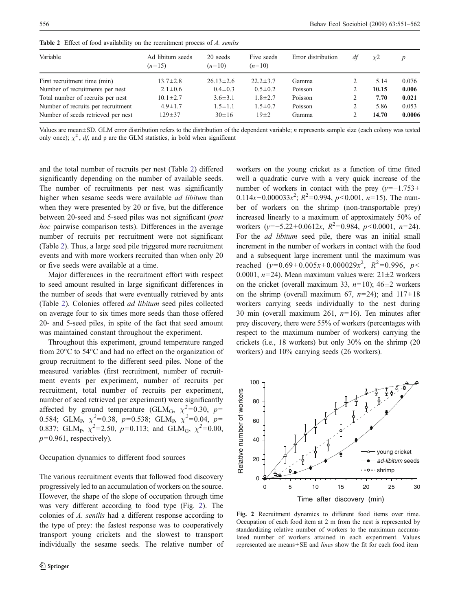| Variable                           | Ad libitum seeds<br>$(n=15)$ | 20 seeds<br>$(n=10)$ | Five seeds<br>$(n=10)$ | Error distribution | df | $\chi$ <sup>2</sup> | $\boldsymbol{p}$ |
|------------------------------------|------------------------------|----------------------|------------------------|--------------------|----|---------------------|------------------|
| First recruitment time (min)       | $13.7 \pm 2.8$               | $26.13 \pm 2.6$      | $22.2 \pm 3.7$         | Gamma              |    | 5.14                | 0.076            |
| Number of recruitments per nest    | $2.1 \pm 0.6$                | $0.4 \pm 0.3$        | $0.5 \pm 0.2$          | Poisson            |    | 10.15               | 0.006            |
| Total number of recruits per nest  | $10.1 \pm 2.7$               | $3.6 \pm 3.1$        | $1.8 \pm 2.7$          | Poisson            |    | 7.70                | 0.021            |
| Number of recruits per recruitment | $4.9 \pm 1.7$                | $1.5 \pm 1.1$        | $1.5 \pm 0.7$          | Poisson            |    | 5.86                | 0.053            |
| Number of seeds retrieved per nest | $129 + 37$                   | $30 \pm 16$          | $19\pm 2$              | Gamma              |    | 14.70               | 0.0006           |

<span id="page-5-0"></span>Table 2 Effect of food availability on the recruitment process of A. senilis

Values are mean±SD. GLM error distribution refers to the distribution of the dependent variable; *n* represents sample size (each colony was tested only once);  $\chi^2$ , df, and p are the GLM statistics, in bold when significant

and the total number of recruits per nest (Table 2) differed significantly depending on the number of available seeds. The number of recruitments per nest was significantly higher when sesame seeds were available ad libitum than when they were presented by 20 or five, but the difference between 20-seed and 5-seed piles was not significant (post hoc pairwise comparison tests). Differences in the average number of recruits per recruitment were not significant (Table 2). Thus, a large seed pile triggered more recruitment events and with more workers recruited than when only 20 or five seeds were available at a time.

Major differences in the recruitment effort with respect to seed amount resulted in large significant differences in the number of seeds that were eventually retrieved by ants (Table 2). Colonies offered ad libitum seed piles collected on average four to six times more seeds than those offered 20- and 5-seed piles, in spite of the fact that seed amount was maintained constant throughout the experiment.

Throughout this experiment, ground temperature ranged from 20°C to 54°C and had no effect on the organization of group recruitment to the different seed piles. None of the measured variables (first recruitment, number of recruitment events per experiment, number of recruits per recruitment, total number of recruits per experiment, number of seed retrieved per experiment) were significantly affected by ground temperature (GLM<sub>G</sub>,  $\chi^2$ =0.30, p= 0.584; GLM<sub>P</sub>,  $\chi^2 = 0.38$ ,  $p=0.538$ ; GLM<sub>P</sub>,  $\chi^2 = 0.04$ ,  $p=$ 0.837; GLM<sub>P</sub>,  $\chi^2$ =2.50,  $p$ =0.113; and GLM<sub>G</sub>,  $\chi^2$ =0.00,  $p=0.961$ , respectively).

## Occupation dynamics to different food sources

The various recruitment events that followed food discovery progressively led to an accumulation of workers on the source. However, the shape of the slope of occupation through time was very different according to food type (Fig. 2). The colonies of A. senilis had a different response according to the type of prey: the fastest response was to cooperatively transport young crickets and the slowest to transport individually the sesame seeds. The relative number of workers on the young cricket as a function of time fitted well a quadratic curve with a very quick increase of the number of workers in contact with the prey  $(y=-1.753+)$ 0.114x-0.000033 $x^2$ ;  $R^2$ =0.994,  $p$ <0.001,  $n=15$ ). The number of workers on the shrimp (non-transportable prey) increased linearly to a maximum of approximately 50% of workers  $(y=-5.22+0.0612x, R^2=0.984, p<0.0001, n=24)$ . For the ad libitum seed pile, there was an initial small increment in the number of workers in contact with the food and a subsequent large increment until the maximum was reached  $(y=0.69+0.005x+0.000029x^2, R^2=0.996, p<sub>0</sub>$ 0.0001,  $n=24$ ). Mean maximum values were:  $21 \pm 2$  workers on the cricket (overall maximum 33,  $n=10$ ); 46 $\pm$ 2 workers on the shrimp (overall maximum 67,  $n=24$ ); and  $117\pm18$ workers carrying seeds individually to the nest during 30 min (overall maximum 261,  $n=16$ ). Ten minutes after prey discovery, there were 55% of workers (percentages with respect to the maximum number of workers) carrying the crickets (i.e., 18 workers) but only 30% on the shrimp (20 workers) and 10% carrying seeds (26 workers).



Fig. 2 Recruitment dynamics to different food items over time. Occupation of each food item at 2 m from the nest is represented by standardizing relative number of workers to the maximum accumulated number of workers attained in each experiment. Values represented are means+SE and lines show the fit for each food item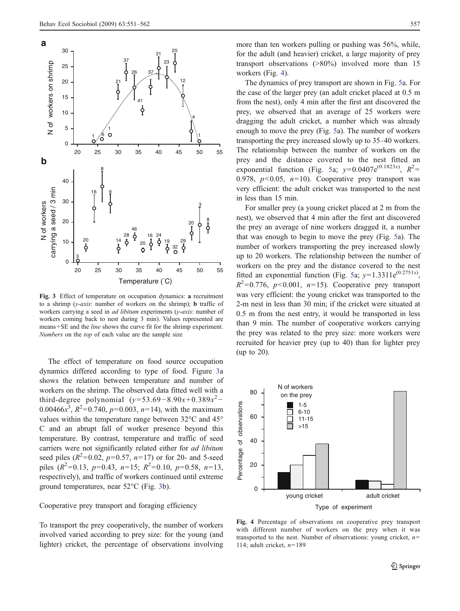<span id="page-6-0"></span>

Fig. 3 Effect of temperature on occupation dynamics: a recruitment to a shrimp ( $y$ -axis: number of workers on the shrimp); **b** traffic of workers carrying a seed in *ad libitum* experiments ( $y$ -*axis*: number of workers coming back to nest during 3 min). Values represented are means+SE and the line shows the curve fit for the shrimp experiment. Numbers on the top of each value are the sample size

The effect of temperature on food source occupation dynamics differed according to type of food. Figure 3a shows the relation between temperature and number of workers on the shrimp. The observed data fitted well with a third-degree polynomial  $(y=53.69-8.90x+0.389x^2-$ 0.00466 $x^3$ ,  $R^2$ =0.740,  $p$ =0.003, n=14), with the maximum values within the temperature range between 32°C and 45° C and an abrupt fall of worker presence beyond this temperature. By contrast, temperature and traffic of seed carriers were not significantly related either for ad libitum seed piles  $(R^2=0.02, p=0.57, n=17)$  or for 20- and 5-seed piles  $(R^2=0.13, p=0.43, n=15; R^2=0.10, p=0.58, n=13,$ respectively), and traffic of workers continued until extreme ground temperatures, near 52°C (Fig. 3b).

## Cooperative prey transport and foraging efficiency

To transport the prey cooperatively, the number of workers involved varied according to prey size: for the young (and lighter) cricket, the percentage of observations involving more than ten workers pulling or pushing was 56%, while, for the adult (and heavier) cricket, a large majority of prey transport observations (>80%) involved more than 15 workers (Fig. 4).

The dynamics of prey transport are shown in Fig. [5](#page-7-0)a. For the case of the larger prey (an adult cricket placed at 0.5 m from the nest), only 4 min after the first ant discovered the prey, we observed that an average of 25 workers were dragging the adult cricket, a number which was already enough to move the prey (Fig. [5a](#page-7-0)). The number of workers transporting the prey increased slowly up to 35–40 workers. The relationship between the number of workers on the prey and the distance covered to the nest fitted an exponential function (Fig. 5a;  $y=0.0407e^{(0.1823x)}$ ,  $R^2=$ 0.978,  $p<0.05$ ,  $n=10$ ). Co[op](#page-7-0)erative prey transport was very efficient: the adult cricket was transported to the nest in less than 15 min.

For smaller prey (a young cricket placed at 2 m from the nest), we observed that 4 min after the first ant discovered the prey an average of nine workers dragged it, a number that was enough to begin to move the prey (Fig. [5](#page-7-0)a). The number of workers transporting the prey increased slowly up to 20 workers. The relationship between the number of workers on the prey and the distance covered to the nest fitted an exponential function (Fig. 5a;  $y=1.3311e^{(0.2751x)}$ ,  $R^2=0.776$ ,  $p<0.001$ ,  $n=15$ ). Coop[er](#page-7-0)ative prey transport was very efficient: the young cricket was transported to the 2-m nest in less than 30 min; if the cricket were situated at 0.5 m from the nest entry, it would be transported in less than 9 min. The number of cooperative workers carrying the prey was related to the prey size: more workers were recruited for heavier prey (up to 40) than for lighter prey (up to 20).



Fig. 4 Percentage of observations on cooperative prey transport with different number of workers on the prey when it was transported to the nest. Number of observations: young cricket,  $n=$ 114; adult cricket,  $n=189$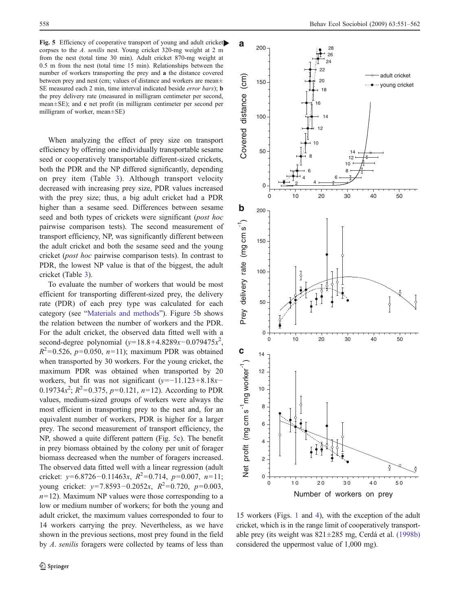<span id="page-7-0"></span>Fig. 5 Efficiency of cooperative transport of young and adult cricket corpses to the A. senilis nest. Young cricket 320-mg weight at 2 m from the nest (total time 30 min). Adult cricket 870-mg weight at 0.5 m from the nest (total time 15 min). Relationships between the number of workers transporting the prey and a the distance covered between prey and nest (cm; values of distance and workers are mean± SE measured each 2 min, time interval indicated beside error bars); **b** the prey delivery rate (measured in milligram centimeter per second, mean±SE); and c net profit (in milligram centimeter per second per milligram of worker, mean±SE)

When analyzing the effect of prey size on transport efficiency by offering one individually transportable sesame seed or cooperatively transportable different-sized crickets, both the PDR and the NP differed significantly, depending on prey item (Table 3). Although transport velocity decreased with increasin[g](#page-8-0) prey size, PDR values increased with the prey size; thus, a big adult cricket had a PDR higher than a sesame seed. Differences between sesame seed and both types of crickets were significant (*post hoc* pairwise comparison tests). The second measurement of transport efficiency, NP, was significantly different between the adult cricket and both the sesame seed and the young cricket (post hoc pairwise comparison tests). In contrast to PDR, the lowest NP value is that of the biggest, the adult cricket (Table [3](#page-8-0)).

To evaluate the number of workers that would be most efficient for transporting different-sized prey, the delivery rate (PDR) of each prey type was calculated for each category (see "[Materials](#page-1-0) and methods"). Figure 5b shows the relation between the number of workers and the PDR. For the adult cricket, the observed data fitted well with a second-degree polynomial  $(y=18.8+4.8289x-0.079475x^2$ ,  $R^2 = 0.526$ ,  $p=0.050$ ,  $n=11$ ); maximum PDR was obtained when transported by 30 workers. For the young cricket, the maximum PDR was obtained when transported by 20 workers, but fit was not significant  $(y=-11.123+8.18x-$ 0.19734 $x^2$ ;  $R^2$ =0.375,  $p$ =0.121,  $n=12$ ). According to PDR values, medium-sized groups of workers were always the most efficient in transporting prey to the nest and, for an equivalent number of workers, PDR is higher for a larger prey. The second measurement of transport efficiency, the NP, showed a quite different pattern (Fig. 5c). The benefit in prey biomass obtained by the colony per unit of forager biomass decreased when the number of foragers increased. The observed data fitted well with a linear regression (adult cricket: y=6.8726-0.11463x,  $R^2$ =0.714, p=0.007, n=11; young cricket:  $y=7.8593-0.2052x$ ,  $R^2=0.720$ ,  $p=0.003$ ,  $n=12$ ). Maximum NP values were those corresponding to a low or medium number of workers; for both the young and adult cricket, the maximum values corresponded to four to 14 workers carrying the prey. Nevertheless, as we have shown in the previous sections, most prey found in the field by A. senilis foragers were collected by teams of less than



15 workers (Figs. 1 and 4), with the exception of the adult cricket, which is in [th](#page-4-0)e ra[nge](#page-6-0) limit of cooperatively transportable prey (its weight was 821±285 mg, Cerdá et al. [\(1998b\)](#page-11-0) considered the uppermost value of 1,000 mg).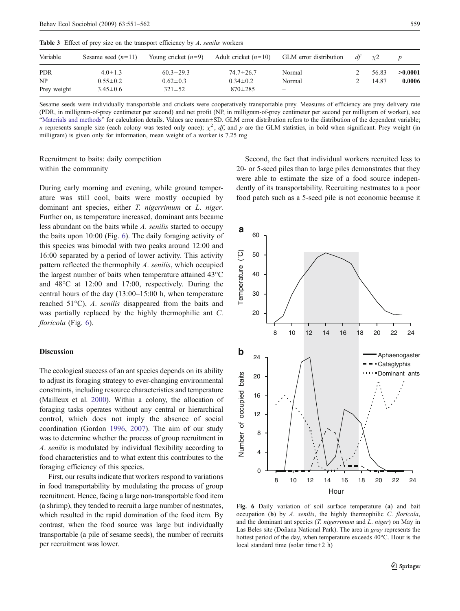<span id="page-8-0"></span>

| Variable                        | Sesame seed $(n=11)$                              | Young cricket $(n=9)$                             |                                                    | Adult cricket $(n=10)$ GLM error distribution | df | $\chi$ 2       |                   |
|---------------------------------|---------------------------------------------------|---------------------------------------------------|----------------------------------------------------|-----------------------------------------------|----|----------------|-------------------|
| <b>PDR</b><br>NP<br>Prey weight | $4.0 \pm 1.3$<br>$0.55 \pm 0.2$<br>$3.45 \pm 0.6$ | $60.3 \pm 29.3$<br>$0.62 \pm 0.3$<br>$321 \pm 52$ | $74.7 \pm 26.7$<br>$0.34 \pm 0.2$<br>$870 \pm 285$ | Normal<br>Normal                              |    | 56.83<br>14.87 | >0.0001<br>0.0006 |

Sesame seeds were individually transportable and crickets were cooperatively transportable prey. Measures of efficiency are prey delivery rate (PDR, in milligram-of-prey centimeter per second) and net profit (NP, in milligram-of-prey centimeter per second per milligram of worker), see "Materials and methods" for calculation details. Values are mean±SD. GLM error distribution refers to the distribution of the dependent variable; *n* [represents](#page-1-0) sample size (each colony was tested only once);  $\chi^2$ , df, and p are the GLM statistics, in bold when significant. Prey weight (in milligram) is given only for information, mean weight of a worker is 7.25 mg

# Recruitment to baits: daily competition within the community

During early morning and evening, while ground temperature was still cool, baits were mostly occupied by dominant ant species, either *T. nigerrimum* or *L. niger.* Further on, as temperature increased, dominant ants became less abundant on the baits while A. senilis started to occupy the baits upon 10:00 (Fig. 6). The daily foraging activity of this species was bimodal with two peaks around 12:00 and 16:00 separated by a period of lower activity. This activity pattern reflected the thermophily A. senilis, which occupied the largest number of baits when temperature attained 43°C and 48°C at 12:00 and 17:00, respectively. During the central hours of the day (13:00–15:00 h, when temperature reached 51°C), A. senilis disappeared from the baits and was partially replaced by the highly thermophilic ant C. floricola (Fig. 6).

## **Discussion**

The ecological success of an ant species depends on its ability to adjust its foraging strategy to ever-changing environmental constraints, including resource characteristics and temperature (Mailleux et al. 2000). Within a colony, the allocation of foraging tasks o[perate](#page-11-0)s without any central or hierarchical control, which does not imply the absence of social coordination (Gordon [1996,](#page-11-0) [2007](#page-11-0)). The aim of our study was to determine whether the process of group recruitment in A. senilis is modulated by individual flexibility according to food characteristics and to what extent this contributes to the foraging efficiency of this species.

First, our results indicate that workers respond to variations in food transportability by modulating the process of group recruitment. Hence, facing a large non-transportable food item (a shrimp), they tended to recruit a large number of nestmates, which resulted in the rapid domination of the food item. By contrast, when the food source was large but individually transportable (a pile of sesame seeds), the number of recruits per recruitment was lower.

Second, the fact that individual workers recruited less to 20- or 5-seed piles than to large piles demonstrates that they were able to estimate the size of a food source independently of its transportability. Recruiting nestmates to a poor food patch such as a 5-seed pile is not economic because it



Fig. 6 Daily variation of soil surface temperature (a) and bait occupation (b) by A. senilis, the highly thermophilic C. floricola, and the dominant ant species  $(T. nigerrimum$  and  $L. niger$ ) on May in Las Beles site (Doñana National Park). The area in gray represents the hottest period of the day, when temperature exceeds 40°C. Hour is the local standard time (solar time+2 h)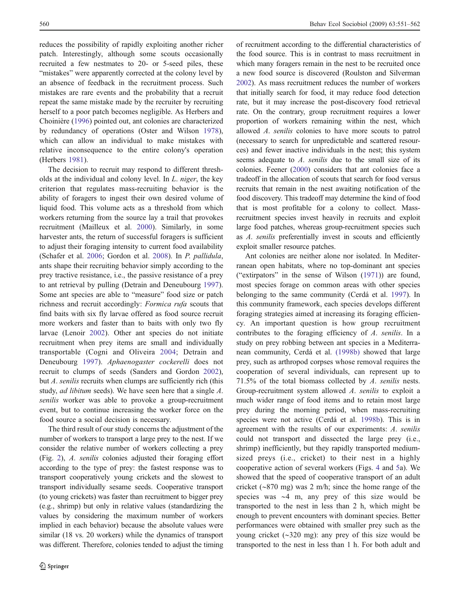reduces the possibility of rapidly exploiting another richer patch. Interestingly, although some scouts occasionally recruited a few nestmates to 20- or 5-seed piles, these "mistakes" were apparently corrected at the colony level by an absence of feedback in the recruitment process. Such mistakes are rare events and the probability that a recruit repeat the same mistake made by the recruiter by recruiting herself to a poor patch becomes negligible. As Herbers and Choinière (1996) pointed out, ant colonies are characterized by redund[ancy](#page-11-0) of operations (Oster and Wilson [1978](#page-11-0)), which can allow an individual to make mistakes with relative inconsequence to the entire colony's operation (Herbers [1981\)](#page-11-0).

The decision to recruit may respond to different thresholds at the individual and colony level. In L. niger, the key criterion that regulates mass-recruiting behavior is the ability of foragers to ingest their own desired volume of liquid food. This volume acts as a threshold from which workers returning from the source lay a trail that provokes recruitment (Mailleux et al. 2000). Similarly, in some harvester ants, the return of su[ccessfu](#page-11-0)l foragers is sufficient to adjust their foraging intensity to current food availability (Schafer et al. [2006;](#page-11-0) Gordon et al. 2008). In P. pallidula, ants shape their recruiting behavior [simply](#page-11-0) according to the prey tractive resistance, i.e., the passive resistance of a prey to ant retrieval by pulling (Detrain and Deneubourg [1997](#page-11-0)). Some ant species are able to "measure" food size or patch richness and recruit accordingly: Formica rufa scouts that find baits with six fly larvae offered as food source recruit more workers and faster than to baits with only two fly larvae (Lenoir [2002](#page-11-0)). Other ant species do not initiate recruitment when prey items are small and individually transportable (Cogni and Oliveira [2004](#page-11-0); Detrain and Deneubourg [1997](#page-11-0)). Aphaenogaster cockerelli does not recruit to clumps of seeds (Sanders and Gordon [2002](#page-11-0)), but A. senilis recruits when clumps are sufficiently rich (this study, *ad libitum* seeds). We have seen here that a single A. senilis worker was able to provoke a group-recruitment event, but to continue increasing the worker force on the food source a social decision is necessary.

The third result of our study concerns the adjustment of the number of workers to transport a large prey to the nest. If we consider the relative number of workers collecting a prey (Fig. [2\)](#page-5-0), A. senilis colonies adjusted their foraging effort according to the type of prey: the fastest response was to transport cooperatively young crickets and the slowest to transport individually sesame seeds. Cooperative transport (to young crickets) was faster than recruitment to bigger prey (e.g., shrimp) but only in relative values (standardizing the values by considering the maximum number of workers implied in each behavior) because the absolute values were similar (18 vs. 20 workers) while the dynamics of transport was different. Therefore, colonies tended to adjust the timing of recruitment according to the differential characteristics of the food source. This is in contrast to mass recruitment in which many foragers remain in the nest to be recruited once a new food source is discovered (Roulston and Silverman [2002\)](#page-11-0). As mass recruitment reduces the number of workers that initially search for food, it may reduce food detection rate, but it may increase the post-discovery food retrieval rate. On the contrary, group recruitment requires a lower proportion of workers remaining within the nest, which allowed A. senilis colonies to have more scouts to patrol (necessary to search for unpredictable and scattered resources) and fewer inactive individuals in the nest; this system seems adequate to A. senilis due to the small size of its colonies. Feener (2000) considers that ant colonies face a tradeoff in the allo[cation](#page-11-0) of scouts that search for food versus recruits that remain in the nest awaiting notification of the food discovery. This tradeoff may determine the kind of food that is most profitable for a colony to collect. Massrecruitment species invest heavily in recruits and exploit large food patches, whereas group-recruitment species such as A. senilis preferentially invest in scouts and efficiently exploit smaller resource patches.

Ant colonies are neither alone nor isolated. In Mediterranean open habitats, where no top-dominant ant species ("extirpators" in the sense of Wilson [\(1971](#page-11-0))) are found, most species forage on common areas with other species belonging to the same community (Cerdá et al. [1997](#page-11-0)). In this community framework, each species develops different foraging strategies aimed at increasing its foraging efficiency. An important question is how group recruitment contributes to the foraging efficiency of A. senilis. In a study on prey robbing between ant species in a Mediterranean community, Cerdá et al. [\(1998b\)](#page-11-0) showed that large prey, such as arthropod corpses whose removal requires the cooperation of several individuals, can represent up to 71.5% of the total biomass collected by A. senilis nests. Group-recruitment system allowed A. senilis to exploit a much wider range of food items and to retain most large prey during the morning period, when mass-recruiting species were not active (Cerdá et al. 1998b). This is in agreement with the results of our exp[erimen](#page-11-0)ts: A. senilis could not transport and dissected the large prey (i.e., shrimp) inefficiently, but they rapidly transported mediumsized preys (i.e., cricket) to their nest in a highly cooperative action of several workers (Figs. 4 and 5a). We showed that the speed of cooperative transp[or](#page-6-0)t of [an](#page-7-0) adult cricket (∼870 mg) was 2 m/h; since the home range of the species was ∼4 m, any prey of this size would be transported to the nest in less than 2 h, which might be enough to prevent encounters with dominant species. Better performances were obtained with smaller prey such as the young cricket (∼320 mg): any prey of this size would be transported to the nest in less than 1 h. For both adult and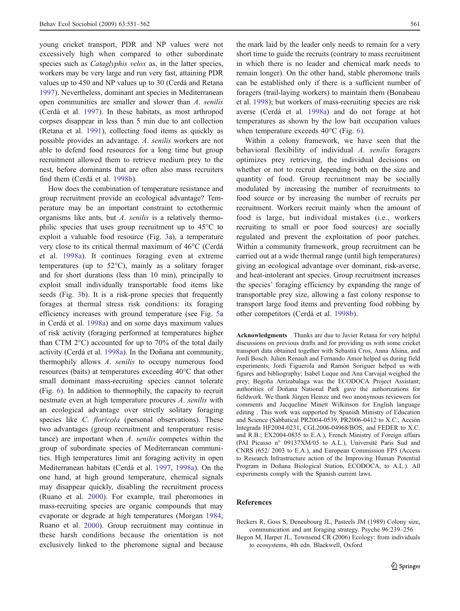<span id="page-10-0"></span>young cricket transport, PDR and NP values were not excessively high when compared to other subordinate species such as *Cataglyphis velox* as, in the latter species, workers may be very large and run very fast, attaining PDR values up to 450 and NP values up to 30 (Cerdá and Retana [1997\)](#page-11-0). Nevertheless, dominant ant species in Mediterranean open communities are smaller and slower than A. senilis (Cerdá et al. [1997](#page-11-0)). In these habitats, as most arthropod corpses disappear in less than 5 min due to ant collection (Retana et al. [1991\)](#page-11-0), collecting food items as quickly as possible provides an advantage. A. senilis workers are not able to defend food resources for a long time but group recruitment allowed them to retrieve medium prey to the nest, before dominants that are often also mass recruiters find them (Cerdá et al. [1998b\)](#page-11-0).

How does the combination of temperature resistance and group recruitment provide an ecological advantage? Temperature may be an important constraint to ectothermic organisms like ants, but A. senilis is a relatively thermophilic species that uses group recruitment up to 45°C to exploit a valuable food resource (Fig. [3a](#page-6-0)), a temperature very close to its critical thermal maximum of 46°C (Cerdá et al. [1998a](#page-11-0)). It continues foraging even at extreme temperatures (up to 52°C), mainly as a solitary forager and for short durations (less than 10 min), principally to exploit small individually transportable food items like seeds (Fig. 3b). It is a risk-prone species that frequently forages at [th](#page-6-0)ermal stress risk conditions: its foraging efficiency increases with ground temperature (see Fig. 5a in Cerdá et al. [1998a\)](#page-11-0) and on some days maximum val[ue](#page-7-0)s of risk activity (foraging performed at temperatures higher than CTM  $2^{\circ}$ C) accounted for up to 70% of the total daily activity (Cerdá et al. [1998a](#page-11-0)). In the Doñana ant community, thermophily allows A. senilis to occupy numerous food resources (baits) at temperatures exceeding 40°C that other small dominant mass-recruiting species cannot tolerate (Fig. [6](#page-8-0)). In addition to thermophily, the capacity to recruit nestmate even at high temperature procures A. senilis with an ecological advantage over strictly solitary foraging species like C. floricola (personal observations). These two advantages (group recruitment and temperature resistance) are important when A. senilis competes within the group of subordinate species of Mediterranean communities. High temperatures limit ant foraging activity in open Mediterranean habitats (Cerdá et al. [1997](#page-11-0), 1998a). On the one hand, at high ground temperature, c[hemica](#page-11-0)l signals may disappear quickly, disabling the recruitment process (Ruano et al. [2000\)](#page-11-0). For example, trail pheromones in mass-recruiting species are organic compounds that may evaporate or degrade at high temperatures (Morgan [1984](#page-11-0); Ruano et al. 2000). Group recruitment may continue in these harsh [condi](#page-11-0)tions because the orientation is not exclusively linked to the pheromone signal and because

the mark laid by the leader only needs to remain for a very short time to guide the recruits (contrary to mass recruitment in which there is no leader and chemical mark needs to remain longer). On the other hand, stable pheromone trails can be established only if there is a sufficient number of foragers (trail-laying workers) to maintain them (Bonabeau et al. [1998\)](#page-11-0); but workers of mass-recruiting species are risk averse (Cerdá et al. [1998a](#page-11-0)) and do not forage at hot temperatures as shown by the low bait occupation values when temperature exceeds 40°C (Fig. [6\)](#page-8-0).

Within a colony framework, we have seen that the behavioral flexibility of individual A. senilis foragers optimizes prey retrieving, the individual decisions on whether or not to recruit depending both on the size and quantity of food. Group recruitment may be socially modulated by increasing the number of recruitments to food source or by increasing the number of recruits per recruitment. Workers recruit mainly when the amount of food is large, but individual mistakes (i.e., workers recruiting to small or poor food sources) are socially regulated and prevent the exploitation of poor patches. Within a community framework, group recruitment can be carried out at a wide thermal range (until high temperatures) giving an ecological advantage over dominant, risk-averse, and heat-intolerant ant species. Group recruitment increases the species' foraging efficiency by expanding the range of transportable prey size, allowing a fast colony response to transport large food items and preventing food robbing by other competitors (Cerdá et al. [1998b\)](#page-11-0).

Acknowledgments Thanks are due to Javier Retana for very helpful discussions on previous drafts and for providing us with some cricket transport data obtained together with Sebastià Cros, Anna Alsina, and Jordi Bosch. Julien Renault and Fernando Amor helped us during field experiments; Jordi Figuerola and Ramón Soriguer helped us with figures and bibliography; Isabel Luque and Ana Carvajal weighed the prey; Begoña Arrizabalaga was the ECODOCA Project Assistant; authorities of Doñana National Park gave the authorizations for fieldwork. We thank Jürgen Heinze and two anonymous reviewers for comments and Jacqueline Minett Wilkinson for English language editing . This work was supported by Spanish Ministry of Education and Science (Sabbatical PR2004-0539, PR2006-0412 to X.C., Acción Integrada HF2004-0231, CGL2006-04968/BOS, and FEDER to X.C. and R.B.; EX2004-0835 to E.A.), French Ministry of Foreign affairs (PAI Picasso n° 09137XM/05 to A.L.), Université Paris Sud and CNRS (652/ 2003 to E.A.), and European Commission FP5 (Access to Research Infrastructure action of the Improving Human Potential Program in Doñana Biological Station, ECODOCA, to A.L.). All experiments comply with the Spanish current laws.

#### References

Beckers R, Goss S, Deneubourg JL, Pasteels JM (1989) Colony size, communication and ant foraging strategy. Psyche 96:239–256

Begon M, Harper JL, Townsend CR (2006) Ecology: from individuals to ecosystems, 4th edn. Blackwell, Oxford